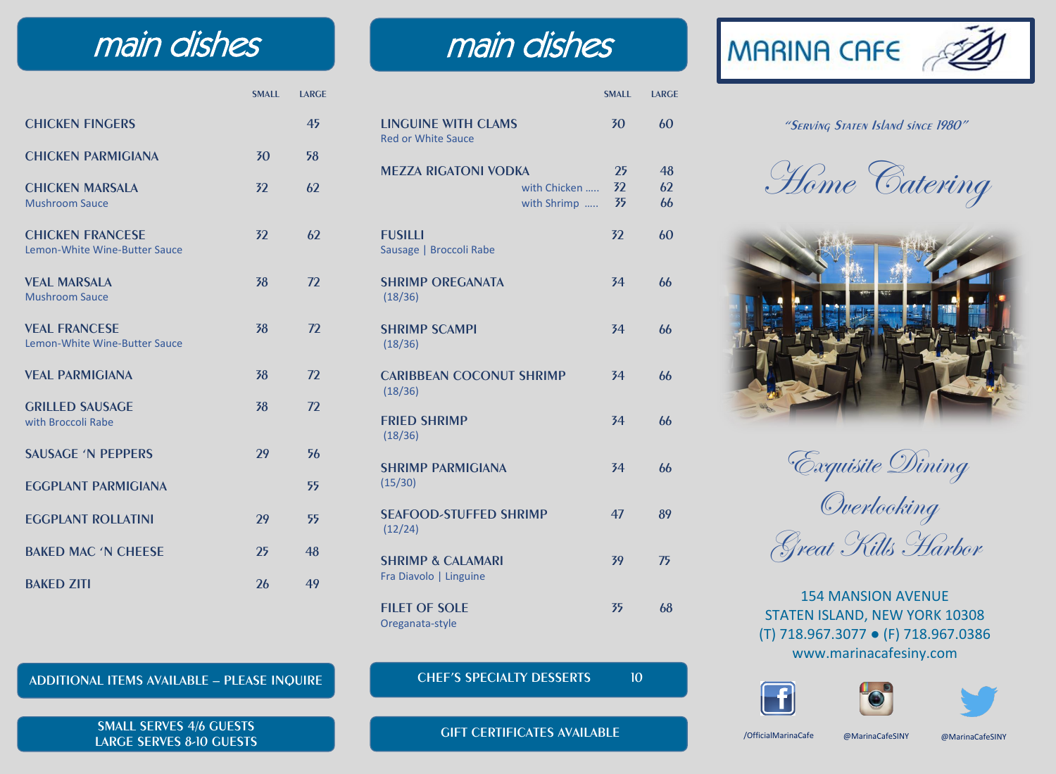## main dishes main dishes

 **SMALL LARGE**

| <b>CHICKEN FINGERS</b>                                   |    | 45 |
|----------------------------------------------------------|----|----|
| <b>CHICKEN PARMIGIANA</b>                                | 30 | 58 |
| <b>CHICKEN MARSALA</b><br><b>Mushroom Sauce</b>          | 32 | 62 |
| <b>CHICKEN FRANCESE</b><br>Lemon-White Wine-Butter Sauce | 32 | 62 |
| <b>VEAL MARSALA</b><br><b>Mushroom Sauce</b>             | 38 | 72 |
| <b>VEAL FRANCESE</b><br>Lemon-White Wine-Butter Sauce    | 38 | 72 |
| <b>VFAI PARMIGIANA</b>                                   | 38 | 72 |
| <b>GRILLED SAUSAGE</b><br>with Broccoli Rabe             | 38 | 72 |
| <b>SAUSAGE 'N PEPPERS</b>                                | 29 | 56 |
| <b>EGGPLANT PARMIGIANA</b>                               |    | 55 |
| <b>FGGPLANT ROLLATINI</b>                                | 29 | 55 |
| <b>BAKED MAC 'N CHEESE</b>                               | 25 | 48 |
| <b>BAKED ZITI</b>                                        | 26 | 49 |

|                                                         |                             | <b>SMALL</b>   | <b>LARGE</b>   |
|---------------------------------------------------------|-----------------------------|----------------|----------------|
| <b>LINGUINE WITH CLAMS</b><br><b>Red or White Sauce</b> |                             | 30             | 60             |
| <b>MEZZA RIGATONI VODKA</b>                             | with Chicken<br>with Shrimp | 25<br>32<br>35 | 48<br>62<br>66 |
| <b>FUSILLI</b><br>Sausage   Broccoli Rabe               |                             | 32             | 60             |
| <b>SHRIMP OREGANATA</b><br>(18/36)                      |                             | 34             | 66             |
| <b>SHRIMP SCAMPI</b><br>(18/36)                         |                             | 34             | 66             |
| <b>CARIBBEAN COCONUT SHRIMP</b><br>(18/36)              |                             | 34             | 66             |
| <b>FRIED SHRIMP</b><br>(18/36)                          |                             | 34             | 66             |
| <b>SHRIMP PARMIGIANA</b><br>(15/30)                     |                             | 34             | 66             |
| <b>SEAFOOD-STUFFED SHRIMP</b><br>(12/24)                |                             | 47             | 89             |
| <b>SHRIMP &amp; CALAMARI</b><br>Fra Diavolo   Linguine  |                             | 39             | 75             |
| <b>FILET OF SOLE</b><br>Oreganata-style                 |                             | 35             | 68             |

**ADDITIONAL ITEMS AVAILABLE – PLEASE INQUIRE**

**SMALL SERVES 4/6 GUESTS LARGE SERVES 8-10 GUESTS**

#### **CHEF'S SPECIALTY DESSERTS** 10

**GIFT CERTIFICATES AVAILABLE**



### **"Serving Staten Island since 1980"**

Home Catering



Exquisite Dining Overlooking Great Kills Harbor

154 MANSION AVENUE STATEN ISLAND, NEW YORK 10308 (T) 718.967.3077 ● (F) 718.967.0386 www.marinacafesiny.com







/OfficialMarinaCafe @MarinaCafeSINY @MarinaCafeSINY